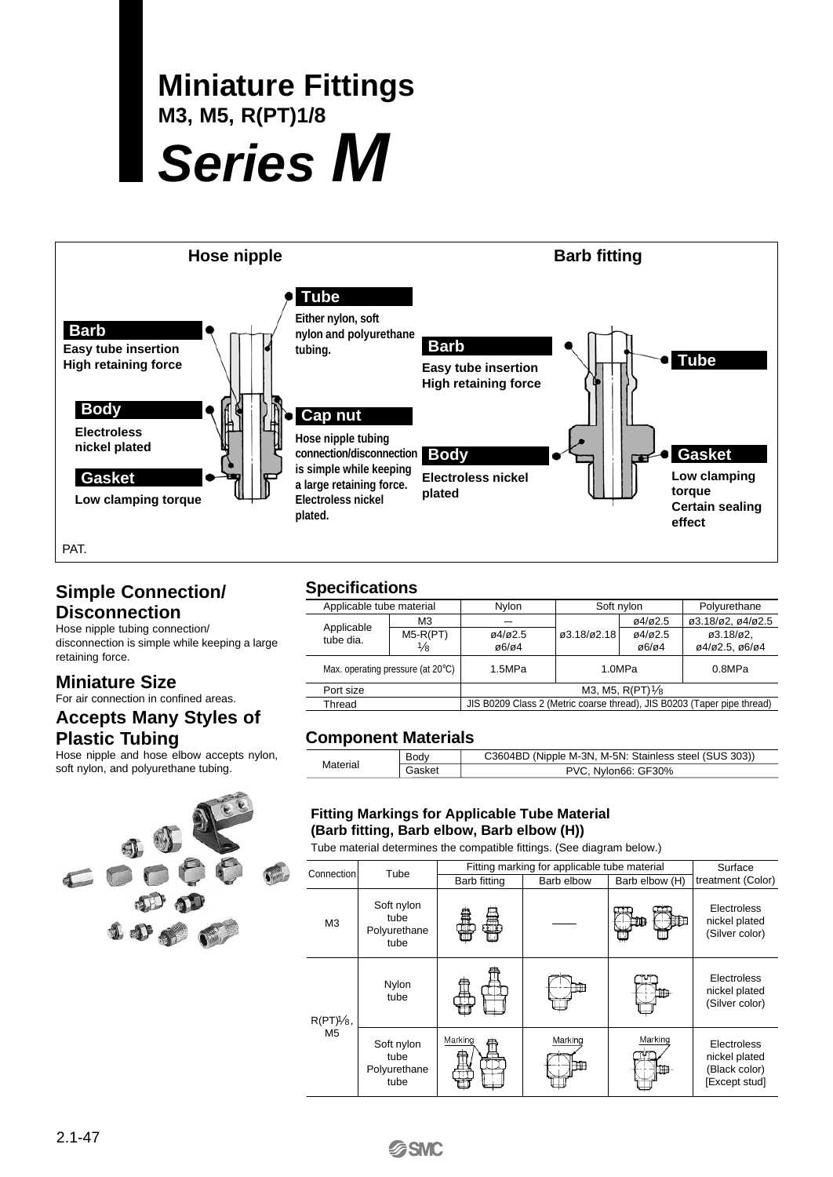# **Miniature Fittings M3, M5, R(PT)1/8 Series M**



### **Simple Connection/ Disconnection**

Hose nipple tubing connection/ disconnection is simple while keeping a large retaining force.

### **Miniature Size**

For air connection in confined areas.

#### **Accepts Many Styles of Plastic Tubing**

Hose nipple and hose elbow accepts nylon, soft nylon, and polyurethane tubing.



## **Specifications**

| Applicable tube material |                                             | Nylon                                                                   | Soft nylon       |                                   | Polyurethane                                           |  |  |  |  |  |
|--------------------------|---------------------------------------------|-------------------------------------------------------------------------|------------------|-----------------------------------|--------------------------------------------------------|--|--|--|--|--|
| Applicable               | M <sub>3</sub>                              |                                                                         |                  | 04/02.5                           | ø3.18/ø2, ø4/ø2.5                                      |  |  |  |  |  |
| tube dia.                | $M5-R(PT)$<br>$\frac{1}{8}$                 | 04/02.5<br>@6/@4                                                        | ø3.18/ø2.18      | 04/02.5<br>$\alpha$ 6/ $\alpha$ 4 | $\varnothing$ 3.18/ $\varnothing$ 2.<br>ø4/ø2.5, ø6/ø4 |  |  |  |  |  |
|                          | Max. operating pressure (at $20^{\circ}$ C) | 1.5MPa                                                                  | 1.0MPa<br>0.8MPa |                                   |                                                        |  |  |  |  |  |
| Port size                |                                             | M3, M5, $R(PT)/8$                                                       |                  |                                   |                                                        |  |  |  |  |  |
| Thread                   |                                             | JIS B0209 Class 2 (Metric coarse thread), JIS B0203 (Taper pipe thread) |                  |                                   |                                                        |  |  |  |  |  |
|                          |                                             |                                                                         |                  |                                   |                                                        |  |  |  |  |  |

### **Component Materials**

|          | Body   | C3604BD (Nipple M-3N, M-5N: Stainless steel (SUS 303)) |
|----------|--------|--------------------------------------------------------|
| Material | Gasket | PVC, Nylon66: GF30%                                    |

#### **Fitting Markings for Applicable Tube Material (Barb fitting, Barb elbow, Barb elbow (H))**

Tube material determines the compatible fittings. (See diagram below.)

| Connection     | Tube                                       |              | Fitting marking for applicable tube material |                |                                                                |  |  |  |
|----------------|--------------------------------------------|--------------|----------------------------------------------|----------------|----------------------------------------------------------------|--|--|--|
|                |                                            | Barb fitting | Barb elbow                                   | Barb elbow (H) | treatment (Color)                                              |  |  |  |
| M <sub>3</sub> | Soft nylon<br>tube<br>Polyurethane<br>tube | Ħ            |                                              |                | Electroless<br>nickel plated<br>(Silver color)                 |  |  |  |
| $R(PT)/8$ ,    | Nylon<br>tube                              |              |                                              |                | Electroless<br>nickel plated<br>(Silver color)                 |  |  |  |
| M <sub>5</sub> | Soft nylon<br>tube<br>Polyurethane<br>tube | Marking      | Marking                                      | Marking        | Electroless<br>nickel plated<br>(Black color)<br>[Except stud] |  |  |  |

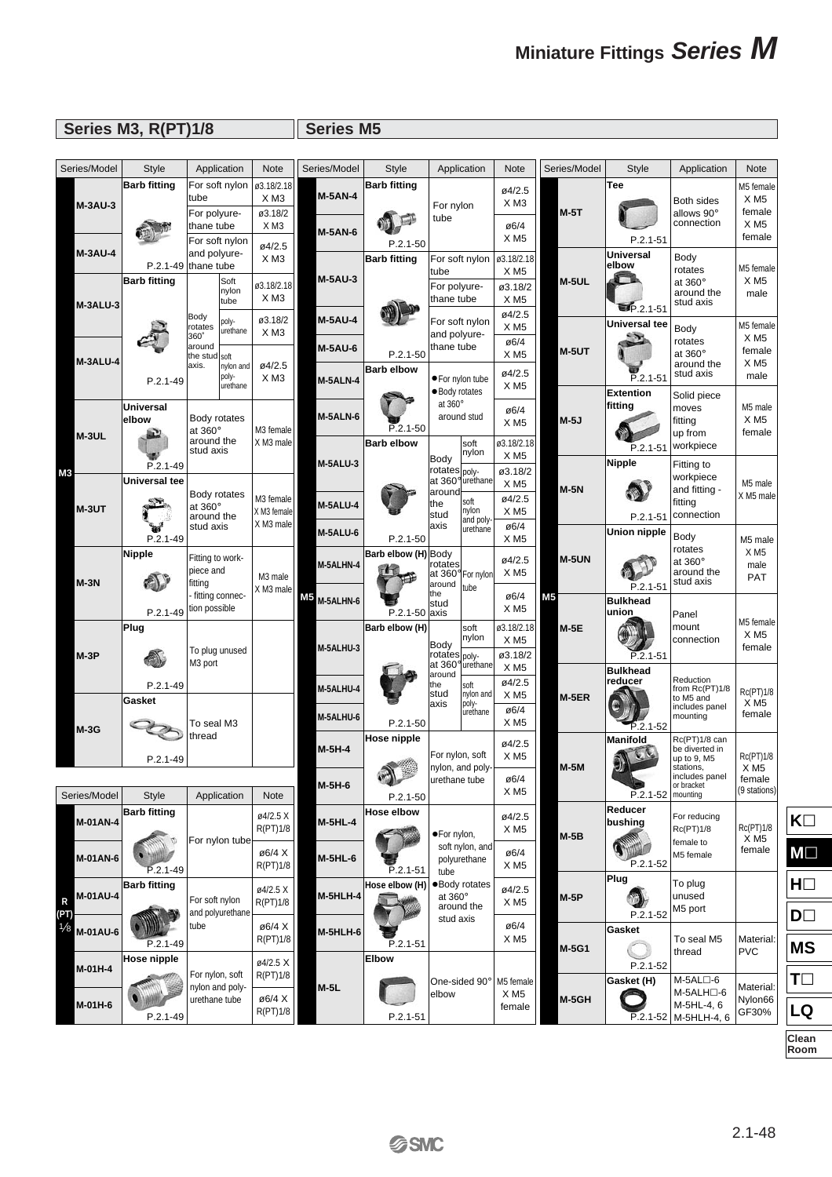# **Miniature Fittings Series M**

# **Series M3, R(PT)1/8 Series M5**

| Series/Model                  | <b>Style</b>                                 | Application                                  |                                | <b>Note</b>                                                 | Series/Model                     | <b>Style</b>                   |                                        | Application                                    | Note                                               | Series/Model | <b>Style</b>                | Application                                                                | <b>Note</b>                                |
|-------------------------------|----------------------------------------------|----------------------------------------------|--------------------------------|-------------------------------------------------------------|----------------------------------|--------------------------------|----------------------------------------|------------------------------------------------|----------------------------------------------------|--------------|-----------------------------|----------------------------------------------------------------------------|--------------------------------------------|
| <b>M-3AU-3</b>                | <b>Barb fitting</b>                          | tube                                         |                                | For soft nylon $  \varnothing$ 3.18/2.18<br>XM <sub>3</sub> | <b>M-5AN-4</b>                   | <b>Barb fitting</b>            |                                        |                                                | ø4/2.5<br>XM <sub>3</sub>                          |              | Tee                         | Both sides                                                                 | M5 female<br>$X$ M <sub>5</sub>            |
|                               |                                              | For polyure-<br>thane tube<br>For soft nylon |                                | ø3.18/2<br>XM3                                              | <b>M-5AN-6</b>                   | $P.2.1 - 50$                   | For nylon<br>tube                      |                                                | ø6/4<br>XM5                                        | $M-5T$       | $P.2.1 - 51$                | allows 90°<br>connection                                                   | female<br>XM5<br>female                    |
| <b>M-3AU-4</b>                | $P.2.1-49$ thane tube<br><b>Barb fitting</b> | and polyure-                                 | Soft                           | ø4/2.5<br>XM <sub>3</sub>                                   | <b>M-5AU-3</b>                   | <b>Barb fitting</b>            | tube                                   | For soft nylon                                 | ø3.18/2.18<br>X <sub>M5</sub>                      | M-5UL        | Universal<br>elbow          | Body<br>rotates<br>at 360°                                                 | M5 female<br>$X$ M <sub>5</sub>            |
| M-3ALU-3                      |                                              | Body                                         | nylon<br>tube                  | ø3.18/2.18<br>XM <sub>3</sub>                               |                                  |                                | For polyure-<br>thane tube             |                                                | ø3.18/2<br>XM5<br>ø4/2.5                           |              | $P.2.1 - 51$                | around the<br>stud axis                                                    | male                                       |
|                               |                                              | rotates<br>360°<br>around                    | poly-<br>urethane              | ø3.18/2<br>$X$ M <sub>3</sub>                               | <b>M-5AU-4</b><br><b>M-5AU-6</b> | $P.2.1 - 50$                   | and polyure-<br>thane tube             | For soft nylon                                 | XM5<br>ø6/4<br>XM5                                 | $M-5UT$      | Universal tee               | Body<br>rotates<br>at 360°                                                 | M5 female<br>XM5<br>female                 |
| M-3ALU-4                      | $P.2.1 - 49$                                 | the stud soft<br>axis.                       | nylon and<br>poly-<br>urethane | ø4/2.5<br>XM <sub>3</sub>                                   | M-5ALN-4                         | <b>Barb elbow</b>              | · Body rotates                         | ● For nylon tube                               | ø4/2.5<br>XM5                                      |              | $P.2.1 - 51$                | around the<br>stud axis                                                    | XM5<br>male                                |
| M-3UL                         | Universal<br>elbow                           | Body rotates<br>at 360°<br>around the        |                                | M3 female                                                   | M-5ALN-6                         | $P.2.1 - 50$                   | at 360°                                | around stud                                    | ø6/4<br>XM5                                        | $M-5J$       | <b>Extention</b><br>fitting | Solid piece<br>moves<br>fitting<br>up from                                 | M5 male<br>XM5<br>female                   |
| MЗ                            | $P.2.1 - 49$                                 | stud axis                                    |                                | X M3 male                                                   | <b>M-5ALU-3</b>                  | <b>Barb elbow</b>              | Body<br>rotates <sub>lpoly</sub> .     | soft<br>nylon                                  | ø3.18/2.18<br>XM <sub>5</sub><br>ø3.18/2           |              | $P.2.1 - 51$<br>Nipple      | workpiece<br>Fitting to                                                    |                                            |
| M-3UT                         | Universal tee                                | Body rotates<br>at 360°<br>around the        |                                | M3 female<br>X M3 female                                    | M-5ALU-4                         |                                | around<br>the<br>stud                  | at 360° urethane<br>soft<br>nylon<br>and poly- | $X$ M <sub>5</sub><br>ø4/2.5<br>$X$ M <sub>5</sub> | $M-5N$       | $P.2.1 - 51$                | workpiece<br>and fitting -<br>fitting<br>connection                        | M5 male<br>XM5 male                        |
|                               | $P.2.1 - 49$                                 | stud axis                                    |                                | X M3 male                                                   | M-5ALU-6                         | $P.2.1 - 50$                   | laxis                                  | urethane                                       | ø6/4<br>XM5                                        |              | Union nipple                | Body                                                                       | M5 male                                    |
| $M-3N$                        | <b>Nipple</b>                                | Fitting to work-<br>piece and<br>fitting     |                                | M3 male                                                     | M-5ALHN-4                        | Barb elbow (H) Body            | rotates<br>at 360° For nylon<br>around | tube                                           | ø4/2.5<br>XM5                                      | M-5UN        | $P.2.1 - 51$                | rotates<br>at 360°<br>around the<br>stud axis                              | XM5<br>male<br><b>PAT</b>                  |
|                               | $P.2.1 - 49$                                 | - fitting connec-<br>tion possible           |                                | XM3 male                                                    | M5<br>M-5ALHN-6                  | P.2.1-50 axis                  | the<br>stud                            |                                                | ø6/4<br>XM5                                        | <b>M5</b>    | <b>Bulkhead</b><br>union    | Panel                                                                      | M5 female                                  |
| $M-3P$                        | Plug                                         | To plug unused<br>M3 port                    |                                |                                                             | M-5ALHU-3                        | Barb elbow (H)                 | Body<br>rotates  poly-                 | soft<br>nylon<br>at 360° urethane              | ø3.18/2.18<br>XM5<br>ø3.18/2                       | $M-5E$       | $P.2.1 - 51$                | mount<br>connection                                                        | XM5<br>female                              |
|                               | $P.2.1 - 49$<br>Gasket                       |                                              |                                |                                                             | M-5ALHU-4                        |                                | around<br>the<br>stud<br>laxis         | soft<br>nylon and<br>poly-                     | XM5<br>ø4/2.5<br>XM5                               | $M-5ER$      | <b>Bulkhead</b><br>reducer  | Reduction<br>from Rc(PT)1/8<br>to M5 and                                   | Rc(PT)1/8<br>XM5                           |
| $M-3G$                        |                                              | To seal M3<br>thread                         |                                |                                                             | M-5ALHU-6                        | $P.2.1 - 50$<br>Hose nipple    |                                        | lurethane                                      | ø6/4<br>XM5<br>ø4/2.5                              |              | $P.2.1 - 52$<br>Manifold    | includes panel<br>mounting<br>Rc(PT)1/8 can                                | female                                     |
|                               | $P.2.1 - 49$                                 |                                              |                                |                                                             | $M-5H-4$<br>M-5H-6               | $\frac{1}{2}$<br>a N           | For nylon, soft<br>urethane tube       | nylon, and poly-                               | XM5<br>ø6/4                                        | <b>M-5M</b>  |                             | be diverted in<br>up to 9, M5<br>stations,<br>includes panel<br>or bracket | Rc(PT)1/8<br>XM5<br>female<br>(9 stations) |
| Series/Model                  | <b>Style</b><br><b>Barb fitting</b>          | Application                                  |                                | Note<br>ø4/2.5 X                                            |                                  | $P.2.1 - 50$<br>Hose elbow     |                                        |                                                | XM5<br>ø4/2.5                                      |              | $P.2.1 - 52$<br>Reducer     | mounting<br>For reducing                                                   |                                            |
| M-01AN-4<br>M-01AN-6          |                                              | For nylon tube                               |                                | R(PT)1/8<br>ø6/4 X                                          | <b>M-5HL-4</b><br>M-5HL-6        |                                | ·For nylon,                            | soft nylon, and<br>polyurethane                | XM5<br>ø6/4                                        | $M-5B$       | bushing                     | Rc(PT)1/8<br>female to<br>M5 female                                        | Rc(PT)1/8<br>XM5<br>female                 |
| M-01AU-4<br>R                 | $P.2.1 - 49$<br><b>Barb fitting</b>          | For soft nylon                               |                                | R(PT)1/8<br>ø4/2.5 X<br>R(PT)1/8                            | <b>M-5HLH-4</b>                  | $P.2.1 - 51$<br>Hose elbow (H) | tube<br>at 360°                        | $\bullet$ Body rotates<br>around the           | XM5<br>ø4/2.5<br>XM5                               | M-5P         | P.2.1-52<br>Plug            | To plug<br>unused                                                          |                                            |
| (PT)<br><b>Ve</b><br>M-01AU-6 | $P.2.1 - 49$                                 | and polyurethane<br>tube                     |                                | ø6/4 X<br>R(PT)1/8                                          | <b>M-5HLH-6</b>                  | $P.2.1 - 51$                   | stud axis                              |                                                | ø6/4<br>XM5                                        |              | $P.2.1 - 52$<br>Gasket      | M5 port<br>To seal M5                                                      | Material:                                  |
| M-01H-4                       | Hose nipple                                  | For nylon, soft                              |                                | ø4/2.5 X<br>R(PT)1/8                                        |                                  | <b>Elbow</b>                   |                                        | One-sided 90°                                  | M5 female                                          | M-5G1        | $P.2.1 - 52$<br>Gasket (H)  | thread<br>M-5AL□-6                                                         | <b>PVC</b>                                 |
| M-01H-6                       | $P.2.1 - 49$                                 | nylon and poly-<br>urethane tube             |                                | ø6/4 X<br>R(PT)1/8                                          | $M-5L$                           | P.2.1-51                       | elbow                                  |                                                | XM5<br>female                                      | M-5GH        | P.2.1-52                    | M-5ALH□-6<br>M-5HL-4, 6<br>M-5HLH-4, 6                                     | Material:<br>Nylon66<br>GF30%              |

**Clean Room**

**K**

**M**

**H**

**D**

**MS**

**T**

**LQ**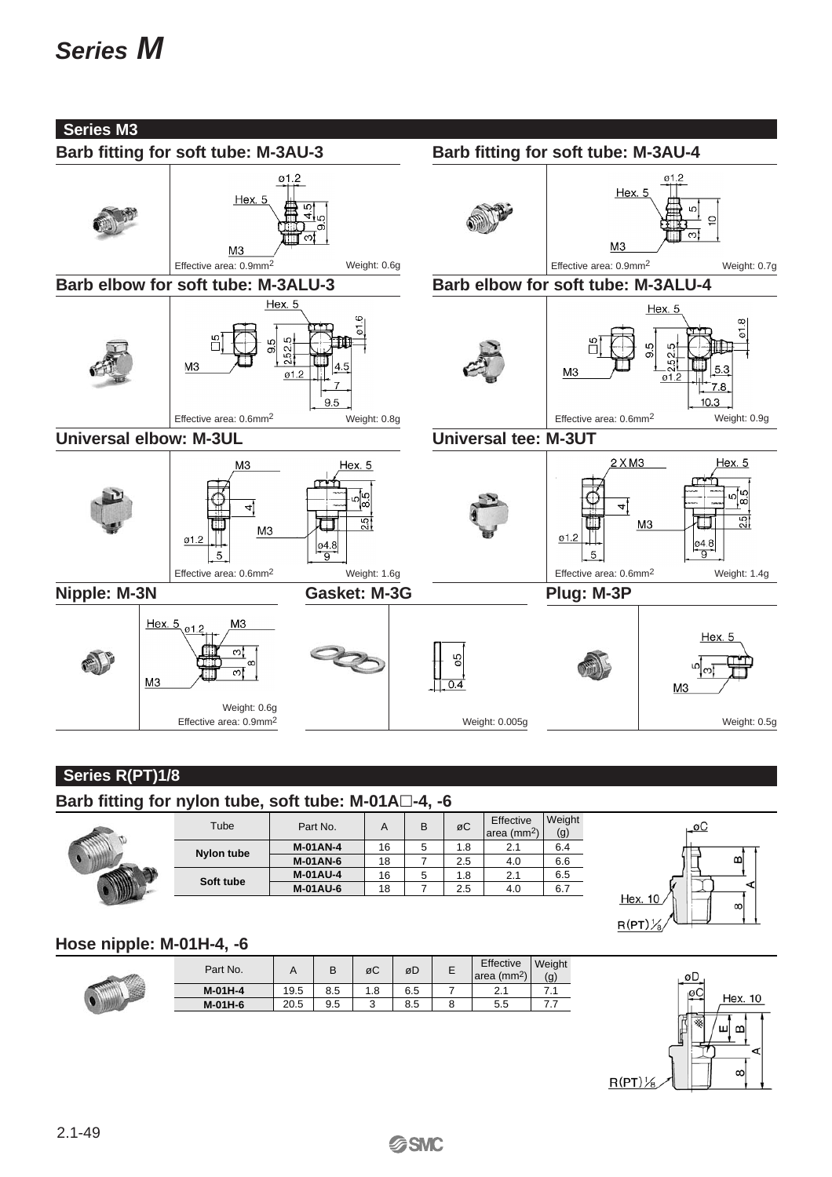# **Series M**



# **Series R(PT)1/8**

**Barb fitting for nylon tube, soft tube: M-01A-4, -6**

| Tube       | Part No.        | A  | В | øC  | Effective<br>area (mm <sup>2</sup> ) | Weight<br>(g) |
|------------|-----------------|----|---|-----|--------------------------------------|---------------|
| Nylon tube | <b>M-01AN-4</b> | 16 | 5 | 1.8 | 2.1                                  | 6.4           |
|            | <b>M-01AN-6</b> | 18 |   | 2.5 | 4.0                                  | 6.6           |
| Soft tube  | <b>M-01AU-4</b> | 16 | b | 1.8 | 2.1                                  | 6.5           |
|            | <b>M-01AU-6</b> | 18 |   | 2.5 | 4.0                                  | 6.7           |
|            |                 |    |   |     |                                      |               |



# **Hose nipple: M-01H-4, -6**

| Part No.  |      |     | øC  | øD  | Effective<br>area (mm <sup>2</sup> ) | Weight<br>(g) |
|-----------|------|-----|-----|-----|--------------------------------------|---------------|
| $M-01H-4$ | 19.5 | 8.5 | 1.8 | 6.5 | ົາ<br><u>.</u>                       |               |
| M-01H-6   | 20.5 | 9.5 | w   | 8.5 | 5.5                                  | .             |



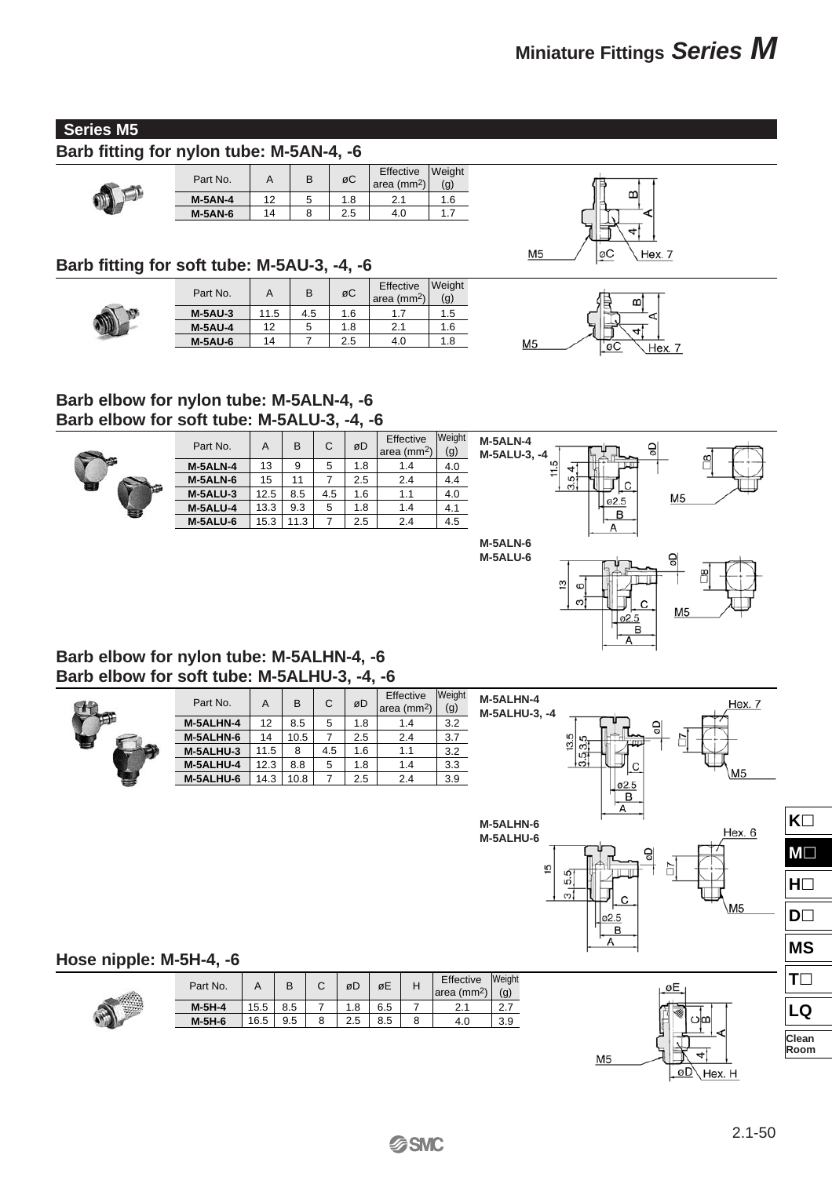#### **Series M5**

## **Barb fitting for nylon tube: M-5AN-4, -6**

| ١<br>i. |  |
|---------|--|

| Part No.       | A  | B | øC  | Effective<br> area (mm <sup>2</sup> ) | <b>Weight</b><br>(g) |  |
|----------------|----|---|-----|---------------------------------------|----------------------|--|
| $M-5AN-4$      | 12 |   | 1.8 |                                       | 1.6                  |  |
| <b>M-5AN-6</b> | 14 |   | 2.5 | 4.0                                   |                      |  |

#### **Barb fitting for soft tube: M-5AU-3, -4, -6**

| Part No.       | Α    | B   | øC  | Effective<br> area (mm <sup>2</sup> ) | Weight<br>(g) |
|----------------|------|-----|-----|---------------------------------------|---------------|
| $M-5AU-3$      | 11.5 | 4.5 | 1.6 | 1.7                                   | 1.5           |
| <b>M-5AU-4</b> | 12   |     | 1.8 | 2.1                                   | 1.6           |
| <b>M-5AU-6</b> | 14   |     | 2.5 | 4.0                                   | 1.8           |



m



#### **Barb elbow for nylon tube: M-5ALN-4, -6 Barb elbow for soft tube: M-5ALU-3, -4, -6**



| Part No.        | A    | B    | C   | øD  | Effective<br>area ( $mm2$ ) | Weight<br>(g) |
|-----------------|------|------|-----|-----|-----------------------------|---------------|
| <b>M-5ALN-4</b> | 13   | 9    | 5   | 1.8 | 1.4                         | 4.0           |
| M-5ALN-6        | 15   | 11   | 7   | 2.5 | 2.4                         | 4.4           |
| M-5ALU-3        | 12.5 | 8.5  | 4.5 | 1.6 | 1.1                         | 4.0           |
| <b>M-5ALU-4</b> | 13.3 | 9.3  | 5   | 1.8 | 1.4                         | 4.1           |
| M-5ALU-6        | 15.3 | 11.3 |     | 2.5 | 2.4                         | 4.5           |



#### **Barb elbow for nylon tube: M-5ALHN-4, -6 Barb elbow for soft tube: M-5ALHU-3, -4, -6**



| Part No.  | A    | B    | C   | øD  | Effective<br>area (mm <sup>2</sup> ) | Weight<br>(g) |
|-----------|------|------|-----|-----|--------------------------------------|---------------|
| M-5ALHN-4 | 12   | 8.5  | 5   | 1.8 | 1.4                                  | 3.2           |
| M-5ALHN-6 | 14   | 10.5 | 7   | 2.5 | 2.4                                  | 3.7           |
| M-5ALHU-3 | 11.5 | 8    | 4.5 | 1.6 | 1.1                                  | 3.2           |
| M-5ALHU-4 | 12.3 | 8.8  | 5   | 1.8 | 1.4                                  | 3.3           |
| M-5ALHU-6 | 14.3 | 10.8 |     | 2.5 | 2.4                                  | 3.9           |





 $M<sub>5</sub>$ 



| Part No. |      | B   | øD  | øE  | Effective<br>area (mm <sup>2</sup> ) | Weight<br>(g) |
|----------|------|-----|-----|-----|--------------------------------------|---------------|
| $M-5H-4$ | 15.5 | 8.5 | 1.8 | 6.5 | 2. I                                 | 2.7           |
| $M-5H-6$ | 16.5 | 9.5 | 2.5 | 8.5 | 4.0                                  | 3.9           |



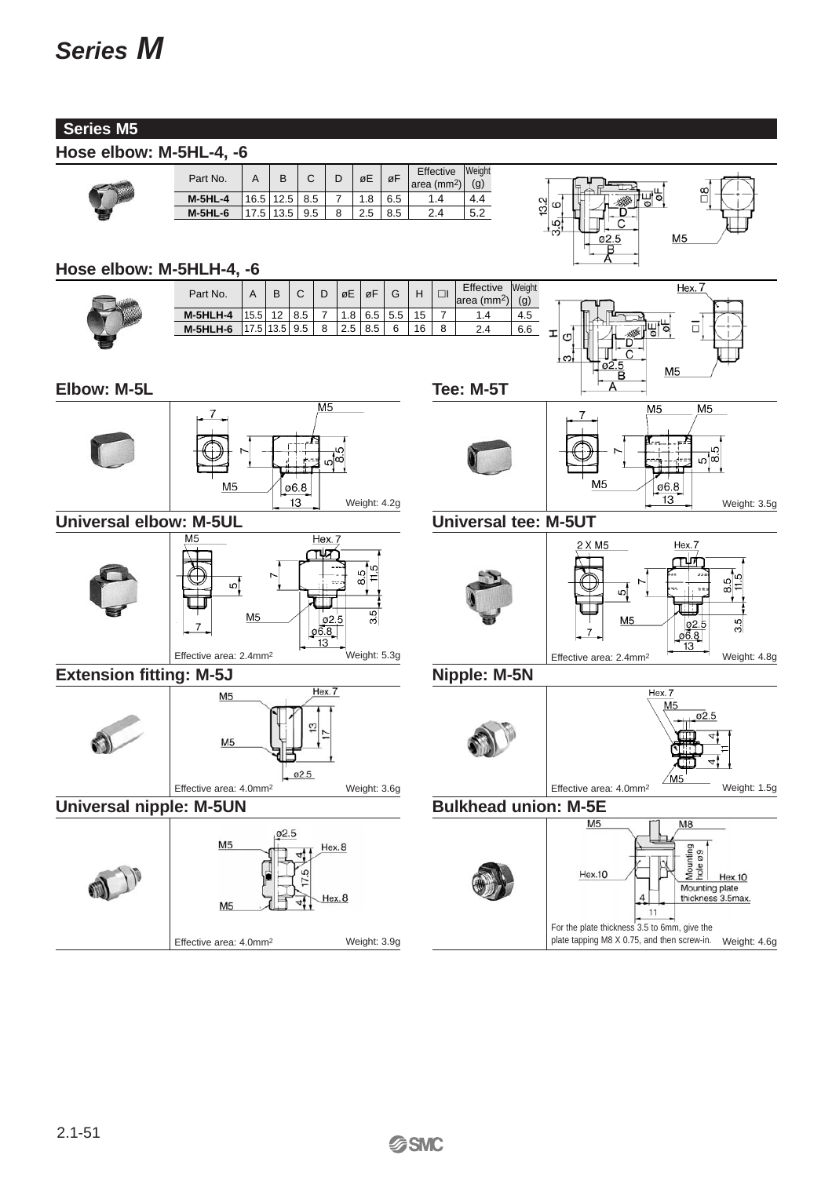#### **Series M5**

#### **Hose elbow: M-5HL-4, -6**

| Part No.  |      | В         |     | øE  | øF  | Effective $\begin{pmatrix} W \\ m \end{pmatrix}$ | Weight<br>(g) |
|-----------|------|-----------|-----|-----|-----|--------------------------------------------------|---------------|
| $M-5HL-4$ |      | 16.5 12.5 | 8.5 | 1.8 | 6.5 |                                                  |               |
| $M-5HL-6$ | 17.5 | 13.5      | 9.5 |     |     |                                                  |               |
|           |      |           |     |     |     |                                                  |               |



#### **Hose elbow: M-5HLH-4, -6**

| Part No.        |        | B          | C   |   | øE               | 0F  |     |    |   | Effective<br> area (mm <sup>2</sup> ) | Weight<br>(g) |
|-----------------|--------|------------|-----|---|------------------|-----|-----|----|---|---------------------------------------|---------------|
| <b>M-5HLH-4</b> | 15.5   | 12         | 8.5 |   | 1.8 <sub>1</sub> | 6.5 | 5.5 | 15 |   | 1.4                                   | 4.5           |
| M-5HLH-6        | 17.51. | $13.5$ 9.5 |     | 8 | 2.5              | 8.5 |     | 16 | 8 | 2.4                                   | 6.6           |
|                 |        |            |     |   |                  |     |     |    |   |                                       |               |

 $\overline{\mathsf{M5}}$ 

Hex. 7

 $\frac{1}{2}$  $\overline{1}$ 





#### **Universal tee: M-5UT**



**Tee: M-5T**



### **Nipple: M-5N**





#### **Bulkhead union: M-5E**





 $\overline{7}$ 

**Universal elbow: M-5UL**



**Extension fitting: M-5J**



**Universal nipple: M-5UN**



**Elbow: M-5L**

Weight: 3.6g